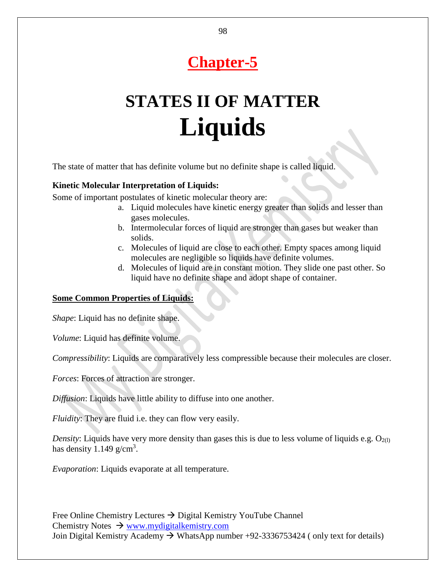# **Chapter-5**

# **STATES II OF MATTER Liquids**

The state of matter that has definite volume but no definite shape is called liquid.

#### **Kinetic Molecular Interpretation of Liquids:**

Some of important postulates of kinetic molecular theory are:

- a. Liquid molecules have kinetic energy greater than solids and lesser than gases molecules.
- b. Intermolecular forces of liquid are stronger than gases but weaker than solids.
- c. Molecules of liquid are close to each other. Empty spaces among liquid molecules are negligible so liquids have definite volumes.
- d. Molecules of liquid are in constant motion. They slide one past other. So liquid have no definite shape and adopt shape of container.

#### **Some Common Properties of Liquids:**

*Shape*: Liquid has no definite shape.

*Volume*: Liquid has definite volume.

*Compressibility*: Liquids are comparatively less compressible because their molecules are closer.

*Forces*: Forces of attraction are stronger.

*Diffusion*: Liquids have little ability to diffuse into one another.

*Fluidity*: They are fluid i.e. they can flow very easily.

*Density*: Liquids have very more density than gases this is due to less volume of liquids e.g.  $O_{2(1)}$ has density  $1.149$  g/cm<sup>3</sup>.

*Evaporation*: Liquids evaporate at all temperature.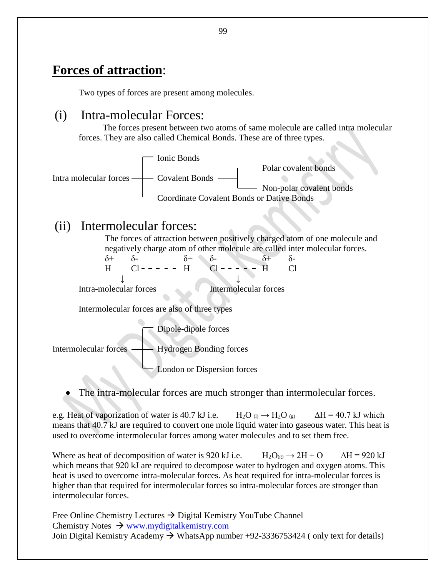## **Forces of attraction**:

Two types of forces are present among molecules.

### (i) Intra-molecular Forces:

The forces present between two atoms of same molecule are called intra molecular forces. They are also called Chemical Bonds. These are of three types.



### (ii) Intermolecular forces:

The forces of attraction between positively charged atom of one molecule and negatively charge atom of other molecule are called inter molecular forces.<br>  $\delta$ +  $\delta$ -  $\delta$ -  $\delta$ -  $\delta$ -  $\delta$ -

 $δ+ δ- δ+ δ- δ- δ+ δ H$   $Cl - - - - H - Cl - - - H - Cl$  ↓ ↓ Intra-molecular forces Intermolecular forces

Intermolecular forces are also of three types

Dipole-dipole forces

Intermolecular forces — Hydrogen Bonding forces

London or Dispersion forces

The intra-molecular forces are much stronger than intermolecular forces.

e.g. Heat of vaporization of water is 40.7 kJ i.e.  $H_2O_0 \rightarrow H_2O_{(g)}$   $\Delta H = 40.7$  kJ which means that 40.7 kJ are required to convert one mole liquid water into gaseous water. This heat is used to overcome intermolecular forces among water molecules and to set them free.

Where as heat of decomposition of water is 920 kJ i.e.  $H_2O_{(g)} \rightarrow 2H + O \qquad \Delta H = 920 \text{ kJ}$ which means that 920 kJ are required to decompose water to hydrogen and oxygen atoms. This heat is used to overcome intra-molecular forces. As heat required for intra-molecular forces is higher than that required for intermolecular forces so intra-molecular forces are stronger than intermolecular forces.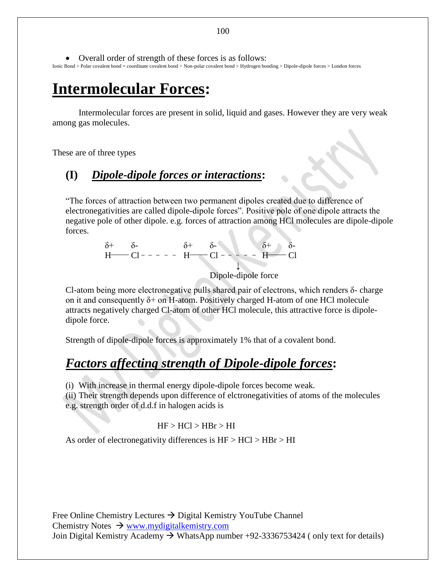Overall order of strength of these forces is as follows: Ionic Bond > Polar covalent bond = coordinate covalent bond > Non-polar covalent bond > Hydrogen bonding > Dipole-dipole forces > London forces

## **Intermolecular Forces:**

Intermolecular forces are present in solid, liquid and gases. However they are very weak among gas molecules.

These are of three types

### **(I)** *Dipole-dipole forces or interactions***:**

"The forces of attraction between two permanent dipoles created due to difference of electronegativities are called dipole-dipole forces". Positive pole of one dipole attracts the negative pole of other dipole. e.g. forces of attraction among HCl molecules are dipole-dipole forces.

> δ+ δ- δ+ δ- δ+ δ- $H$  - Cl - - - - -  $H$  - Cl - - - - -  $H$  - Cl ↓ Dipole-dipole force

Cl-atom being more electronegative pulls shared pair of electrons, which renders  $\delta$ -charge on it and consequently  $\delta$ + on H-atom. Positively charged H-atom of one HCl molecule attracts negatively charged Cl-atom of other HCl molecule, this attractive force is dipoledipole force.

Strength of dipole-dipole forces is approximately 1% that of a covalent bond.

## *Factors affecting strength of Dipole-dipole forces***:**

(i) With increase in thermal energy dipole-dipole forces become weak.

(ii) Their strength depends upon difference of elctronegativities of atoms of the molecules e.g. strength order of d.d.f in halogen acids is

#### $HF > HCl > HBr > HI$

As order of electronegativity differences is  $HF > HCl > HBr > HI$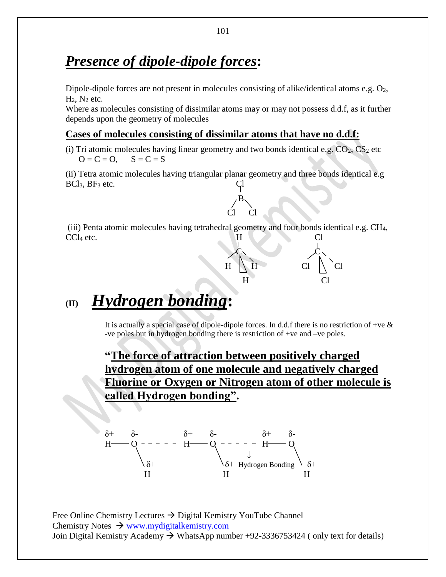## *Presence of dipole-dipole forces***:**

Dipole-dipole forces are not present in molecules consisting of alike/identical atoms e.g.  $O_2$ ,  $H_2$ ,  $N_2$  etc.

Where as molecules consisting of dissimilar atoms may or may not possess d.d.f, as it further depends upon the geometry of molecules

#### **Cases of molecules consisting of dissimilar atoms that have no d.d.f:**

Cl Cl

(i) Tri atomic molecules having linear geometry and two bonds identical e.g.  $CO_2$ ,  $CS_2$  etc  $Q = C = Q$ ,  $S = C = S$ 

(ii) Tetra atomic molecules having triangular planar geometry and three bonds identical e.g  $BCl<sub>3</sub>, BF<sub>3</sub>$  etc.

B

(iii) Penta atomic molecules having tetrahedral geometry and four bonds identical e.g. CH4, CCl<sub>4</sub> etc. Cl<sub>1</sub>

# **(II)** *Hydrogen bonding***:**

It is actually a special case of dipole-dipole forces. In d.d.f there is no restriction of +ve  $\&$ -ve poles but in hydrogen bonding there is restriction of +ve and –ve poles.

H Cl

 $\mathcal{C} \setminus \mathcal{C}$  $H \parallel H$  Cl  $\parallel$  Cl

**"The force of attraction between positively charged hydrogen atom of one molecule and negatively charged Fluorine or Oxygen or Nitrogen atom of other molecule is called Hydrogen bonding".**

$$
\begin{array}{ccc}\n\delta^+ & \delta^- & \delta^+ & \delta^- & \delta^+ & \delta^- \\
H & O & - - - - - & H & O & \downarrow & \\
\hline\n\delta^+ & & \delta^+ & \downarrow & & \downarrow & \\
\delta^+ & & \delta^+ & \downarrow & & \downarrow & \\
H & & H & & H & H\n\end{array}
$$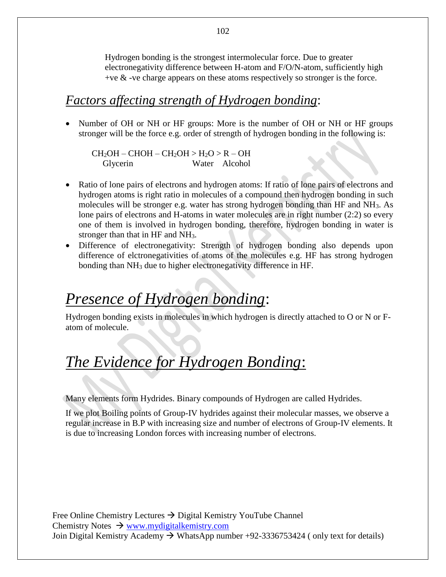Hydrogen bonding is the strongest intermolecular force. Due to greater electronegativity difference between H-atom and F/O/N-atom, sufficiently high  $+ve \&$  -ve charge appears on these atoms respectively so stronger is the force.

### *Factors affecting strength of Hydrogen bonding*:

• Number of OH or NH or HF groups: More is the number of OH or NH or HF groups stronger will be the force e.g. order of strength of hydrogen bonding in the following is:

 $CH<sub>2</sub>OH - CHOH - CH<sub>2</sub>OH > H<sub>2</sub>O > R - OH$ Glycerin Water Alcohol

- Ratio of lone pairs of electrons and hydrogen atoms: If ratio of lone pairs of electrons and hydrogen atoms is right ratio in molecules of a compound then hydrogen bonding in such molecules will be stronger e.g. water has strong hydrogen bonding than HF and NH3. As lone pairs of electrons and H-atoms in water molecules are in right number (2:2) so every one of them is involved in hydrogen bonding, therefore, hydrogen bonding in water is stronger than that in HF and NH3.
- Difference of electronegativity: Strength of hydrogen bonding also depends upon difference of elctronegativities of atoms of the molecules e.g. HF has strong hydrogen bonding than NH<sup>3</sup> due to higher electronegativity difference in HF.

# *Presence of Hydrogen bonding*:

Hydrogen bonding exists in molecules in which hydrogen is directly attached to O or N or Fatom of molecule.

# *The Evidence for Hydrogen Bonding*:

Many elements form Hydrides. Binary compounds of Hydrogen are called Hydrides.

If we plot Boiling points of Group-IV hydrides against their molecular masses, we observe a regular increase in B.P with increasing size and number of electrons of Group-IV elements. It is due to increasing London forces with increasing number of electrons.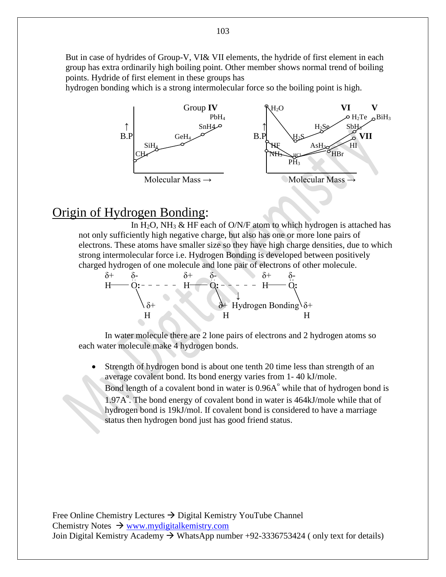But in case of hydrides of Group-V, VI& VII elements, the hydride of first element in each group has extra ordinarily high boiling point. Other member shows normal trend of boiling points. Hydride of first element in these groups has

hydrogen bonding which is a strong intermolecular force so the boiling point is high.



## Origin of Hydrogen Bonding:

In H<sub>2</sub>O, NH<sub>3</sub> & HF each of O/N/F atom to which hydrogen is attached has not only sufficiently high negative charge, but also has one or more lone pairs of electrons. These atoms have smaller size so they have high charge densities, due to which strong intermolecular force i.e. Hydrogen Bonding is developed between positively charged hydrogen of one molecule and lone pair of electrons of other molecule.

δ+ δ- δ+ δ- δ+ δ-H O**:** H O**:** H O**:** ↓ δ+ δ+ Hydrogen Bonding δ+ H H H

In water molecule there are 2 lone pairs of electrons and 2 hydrogen atoms so each water molecule make 4 hydrogen bonds.

 Strength of hydrogen bond is about one tenth 20 time less than strength of an average covalent bond. Its bond energy varies from 1- 40 kJ/mole. Bond length of a covalent bond in water is  $0.96A<sup>o</sup>$  while that of hydrogen bond is 1.97A°. The bond energy of covalent bond in water is 464kJ/mole while that of hydrogen bond is 19kJ/mol. If covalent bond is considered to have a marriage status then hydrogen bond just has good friend status.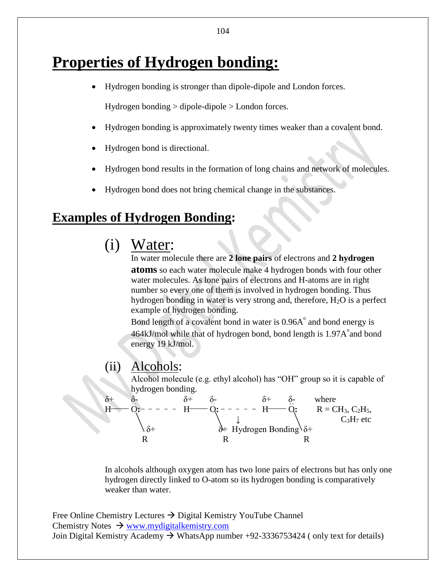# **Properties of Hydrogen bonding:**

Hydrogen bonding is stronger than dipole-dipole and London forces.

Hydrogen bonding > dipole-dipole > London forces.

- Hydrogen bonding is approximately twenty times weaker than a covalent bond.
- Hydrogen bond is directional.
- Hydrogen bond results in the formation of long chains and network of molecules.
- Hydrogen bond does not bring chemical change in the substances.

## **Examples of Hydrogen Bonding:**

(i) Water:

In water molecule there are **2 lone pairs** of electrons and **2 hydrogen atoms** so each water molecule make 4 hydrogen bonds with four other water molecules. As lone pairs of electrons and H-atoms are in right number so every one of them is involved in hydrogen bonding. Thus hydrogen bonding in water is very strong and, therefore, H<sub>2</sub>O is a perfect example of hydrogen bonding.

Bond length of a covalent bond in water is  $0.96A<sup>o</sup>$  and bond energy is  $464$ kJ/mol while that of hydrogen bond, bond length is  $1.97$ A $^{\circ}$  and bond energy 19 kJ/mol.

#### (ii) Alcohols:

Alcohol molecule (e.g. ethyl alcohol) has "OH" group so it is capable of hydrogen bonding.



In alcohols although oxygen atom has two lone pairs of electrons but has only one hydrogen directly linked to O-atom so its hydrogen bonding is comparatively weaker than water.

Free Online Chemistry Lectures  $\rightarrow$  Digital Kemistry YouTube Channel Chemistry Notes  $\rightarrow$  [www.mydigitalkemistry.com](http://www.mydigitalkemistry.com/) Join Digital Kemistry Academy  $\rightarrow$  WhatsApp number +92-3336753424 (only text for details)

104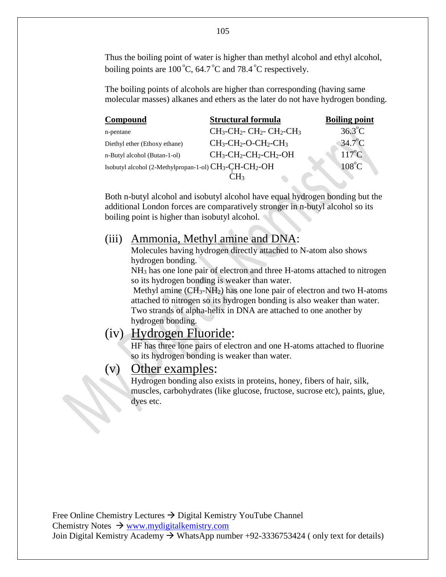Thus the boiling point of water is higher than methyl alcohol and ethyl alcohol, boiling points are  $100^{\circ}$ C, 64.7 $^{\circ}$ C and 78.4 $^{\circ}$ C respectively.

The boiling points of alcohols are higher than corresponding (having same molecular masses) alkanes and ethers as the later do not have hydrogen bonding.

| Compound                                                                       | <b>Structural formula</b> | <b>Boiling point</b> |
|--------------------------------------------------------------------------------|---------------------------|----------------------|
| n-pentane                                                                      | $CH3-CH2- CH2- CH2-CH3$   | $36.3^{\circ}$ C     |
| Diethyl ether (Ethoxy ethane)                                                  | $CH3-CH2-O-CH2-CH3$       | $34.7^{\circ}$ C     |
| n-Butyl alcohol (Butan-1-ol)                                                   | $CH3-CH2-CH2-CH2-OH$      | $117^{\circ}$ C      |
| Isobutyl alcohol (2-Methylpropan-1-ol) CH <sub>3</sub> -CH-CH <sub>2</sub> -OH |                           | $108^{\circ}$ C      |
|                                                                                | ∵H∘                       |                      |

Both n-butyl alcohol and isobutyl alcohol have equal hydrogen bonding but the additional London forces are comparatively stronger in n-butyl alcohol so its boiling point is higher than isobutyl alcohol.

#### (iii) Ammonia, Methyl amine and DNA:

Molecules having hydrogen directly attached to N-atom also shows hydrogen bonding.

NH<sup>3</sup> has one lone pair of electron and three H-atoms attached to nitrogen so its hydrogen bonding is weaker than water.

Methyl amine (CH3-NH2) has one lone pair of electron and two H-atoms attached to nitrogen so its hydrogen bonding is also weaker than water. Two strands of alpha-helix in DNA are attached to one another by hydrogen bonding.

### (iv) Hydrogen Fluoride:

HF has three lone pairs of electron and one H-atoms attached to fluorine so its hydrogen bonding is weaker than water.

### (v) Other examples:

Hydrogen bonding also exists in proteins, honey, fibers of hair, silk, muscles, carbohydrates (like glucose, fructose, sucrose etc), paints, glue, dyes etc.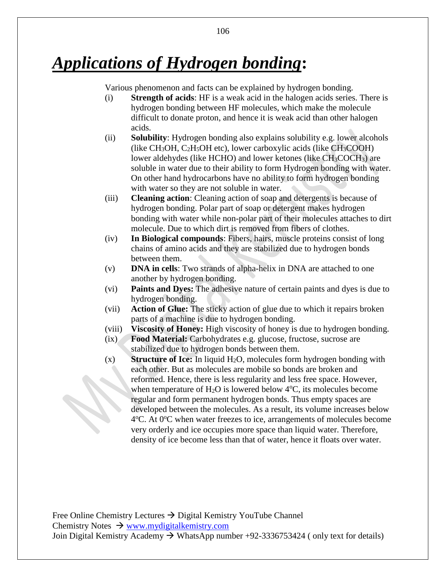# *Applications of Hydrogen bonding***:**

Various phenomenon and facts can be explained by hydrogen bonding.

- (i) **Strength of acids**: HF is a weak acid in the halogen acids series. There is hydrogen bonding between HF molecules, which make the molecule difficult to donate proton, and hence it is weak acid than other halogen acids.
- (ii) **Solubility**: Hydrogen bonding also explains solubility e.g. lower alcohols (like  $CH<sub>3</sub>OH$ ,  $C<sub>2</sub>H<sub>5</sub>OH$  etc), lower carboxylic acids (like  $CH<sub>3</sub>COOH$ ) lower aldehydes (like HCHO) and lower ketones (like CH<sub>3</sub>COCH<sub>3</sub>) are soluble in water due to their ability to form Hydrogen bonding with water. On other hand hydrocarbons have no ability to form hydrogen bonding with water so they are not soluble in water.
- (iii) **Cleaning action**: Cleaning action of soap and detergents is because of hydrogen bonding. Polar part of soap or detergent makes hydrogen bonding with water while non-polar part of their molecules attaches to dirt molecule. Due to which dirt is removed from fibers of clothes.
- (iv) **In Biological compounds**: Fibers, hairs, muscle proteins consist of long chains of amino acids and they are stabilized due to hydrogen bonds between them.
- (v) **DNA in cells**: Two strands of alpha-helix in DNA are attached to one another by hydrogen bonding.
- (vi) **Paints and Dyes:** The adhesive nature of certain paints and dyes is due to hydrogen bonding.
- (vii) **Action of Glue:** The sticky action of glue due to which it repairs broken parts of a machine is due to hydrogen bonding.
- (viii) **Viscosity of Honey:** High viscosity of honey is due to hydrogen bonding.
- (ix) **Food Material:** Carbohydrates e.g. glucose, fructose, sucrose are stabilized due to hydrogen bonds between them.
- (x) **Structure of Ice:** In liquid H<sub>2</sub>O, molecules form hydrogen bonding with each other. But as molecules are mobile so bonds are broken and reformed. Hence, there is less regularity and less free space. However, when temperature of  $H_2O$  is lowered below  $4^{\circ}C$ , its molecules become regular and form permanent hydrogen bonds. Thus empty spaces are developed between the molecules. As a result, its volume increases below 4°C. At 0°C when water freezes to ice, arrangements of molecules become very orderly and ice occupies more space than liquid water. Therefore, density of ice become less than that of water, hence it floats over water.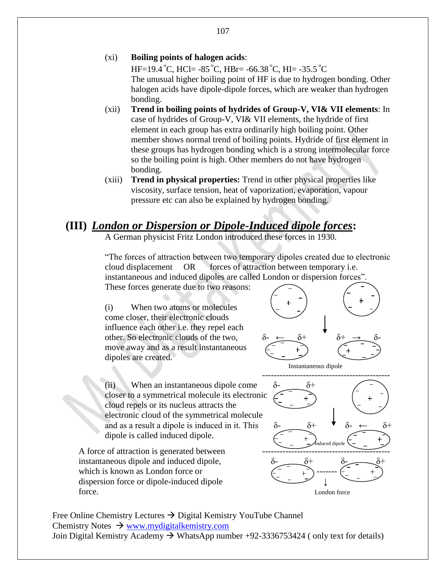#### (xi) **Boiling points of halogen acids**:

 $HF=19.4\degree C$ , HCl=  $-85\degree C$ , HBr=  $-66.38\degree C$ , HI=  $-35.5\degree C$ The unusual higher boiling point of HF is due to hydrogen bonding. Other halogen acids have dipole-dipole forces, which are weaker than hydrogen bonding.

- (xii) **Trend in boiling points of hydrides of Group-V, VI& VII elements**: In case of hydrides of Group-V, VI& VII elements, the hydride of first element in each group has extra ordinarily high boiling point. Other member shows normal trend of boiling points. Hydride of first element in these groups has hydrogen bonding which is a strong intermolecular force so the boiling point is high. Other members do not have hydrogen bonding.
- (xiii) **Trend in physical properties:** Trend in other physical properties like viscosity, surface tension, heat of vaporization, evaporation, vapour pressure etc can also be explained by hydrogen bonding.

#### **(III)** *London or Dispersion or Dipole-Induced dipole forces***:**

A German physicist Fritz London introduced these forces in 1930.

"The forces of attraction between two temporary dipoles created due to electronic cloud displacement OR forces of attraction between temporary i.e. instantaneous and induced dipoles are called London or dispersion forces".

These forces generate due to two reasons:

(i) When two atoms or molecules come closer, their electronic clouds influence each other i.e. they repel each other. So electronic clouds of the two, move away and as a result instantaneous dipoles are created.



Instantaneous dipole

(ii) When an instantaneous dipole come  $\delta$ -  $\delta$ + closer to a symmetrical molecule its electronic cloud repels or its nucleus attracts the electronic cloud of the symmetrical molecule and as a result a dipole is induced in it. This  $\delta$ -  $\delta$ + dipole is called induced dipole.

A force of attraction is generated between instantaneous dipole and induced dipole,  $\delta$ which is known as London force or dispersion force or dipole-induced dipole force. London force



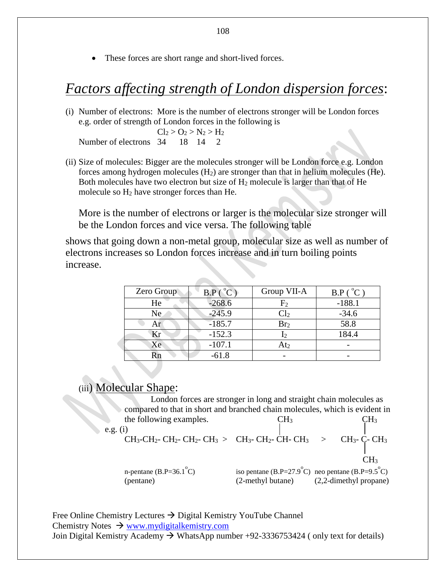These forces are short range and short-lived forces.

### *Factors affecting strength of London dispersion forces*:

(i) Number of electrons: More is the number of electrons stronger will be London forces e.g. order of strength of London forces in the following is

 $Cl_2 > O_2 > N_2 > H_2$ Number of electrons 34 18 14 2

(ii) Size of molecules: Bigger are the molecules stronger will be London force e.g. London forces among hydrogen molecules  $(H<sub>2</sub>)$  are stronger than that in helium molecules (He). Both molecules have two electron but size of  $H_2$  molecule is larger than that of He molecule so H<sup>2</sup> have stronger forces than He.

More is the number of electrons or larger is the molecular size stronger will be the London forces and vice versa. The following table

shows that going down a non-metal group, molecular size as well as number of electrons increases so London forces increase and in turn boiling points increase.

| Zero Group | B.P (°C) | Group VII-A       | B.P (°C) |
|------------|----------|-------------------|----------|
| He         | $-268.6$ | $\rm{F}_2$        | $-188.1$ |
| Ne.        | $-245.9$ | $\text{\rm Cl}_2$ | $-34.6$  |
| Ar         | $-185.7$ | Br <sub>2</sub>   | 58.8     |
| Kr         | $-152.3$ | $\mathbf{I}$      | 184.4    |
| Xe         | $-107.1$ | At <sub>2</sub>   |          |
|            | $-61.8$  |                   |          |

### (iii) Molecular Shape:

London forces are stronger in long and straight chain molecules as compared to that in short and branched chain molecules, which is evident in the following examples.  $CH_3$  CH<sub>3</sub> CH<sub>3</sub>

CH3-CH2- CH2- CH2- CH3 > CH3- CH2- CH- CH3 > CH3- C- CH<sup>3</sup>

e.g.  $(i)$ 

**CH<sub>3</sub>** n-pentane (B.P=36.1 $^{\circ}$ C) iso pentane  $(B.P=27.9^{\circ}C)$  neo pentane  $(B.P=9.5^{\circ}C)$ (pentane) (2-methyl butane) (2,2-dimethyl propane)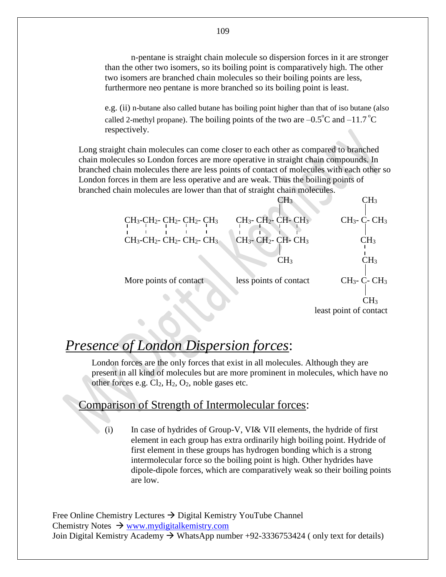n-pentane is straight chain molecule so dispersion forces in it are stronger than the other two isomers, so its boiling point is comparatively high. The other two isomers are branched chain molecules so their boiling points are less, furthermore neo pentane is more branched so its boiling point is least.

e.g. (ii) n-butane also called butane has boiling point higher than that of iso butane (also called 2-methyl propane). The boiling points of the two are  $-0.5^{\circ}$ C and  $-11.7^{\circ}$ C respectively.

Long straight chain molecules can come closer to each other as compared to branched chain molecules so London forces are more operative in straight chain compounds. In branched chain molecules there are less points of contact of molecules with each other so London forces in them are less operative and are weak. Thus the boiling points of branched chain molecules are lower than that of straight chain molecules.



## *Presence of London Dispersion forces*:

London forces are the only forces that exist in all molecules. Although they are present in all kind of molecules but are more prominent in molecules, which have no other forces e.g.  $Cl_2$ ,  $H_2$ ,  $O_2$ , noble gases etc.

#### Comparison of Strength of Intermolecular forces:

(i) In case of hydrides of Group-V, VI& VII elements, the hydride of first element in each group has extra ordinarily high boiling point. Hydride of first element in these groups has hydrogen bonding which is a strong intermolecular force so the boiling point is high. Other hydrides have dipole-dipole forces, which are comparatively weak so their boiling points are low.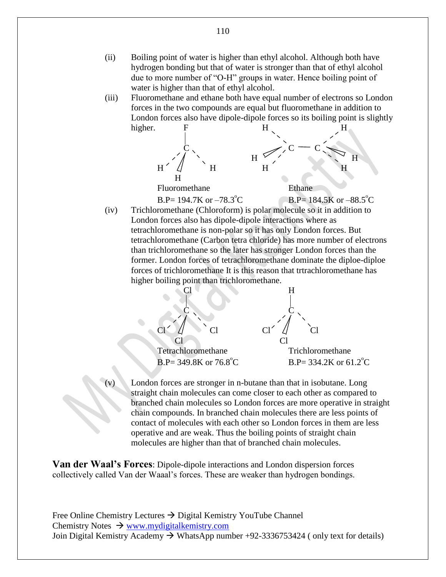- (ii) Boiling point of water is higher than ethyl alcohol. Although both have hydrogen bonding but that of water is stronger than that of ethyl alcohol due to more number of "O-H" groups in water. Hence boiling point of water is higher than that of ethyl alcohol.
- (iii) Fluoromethane and ethane both have equal number of electrons so London forces in the two compounds are equal but fluoromethane in addition to London forces also have dipole-dipole forces so its boiling point is slightly higher.



 $B.P= 194.7K$  or  $-78.3^{\circ}C$ C B.P=  $184.5K$  or  $-88.5^{\circ}C$ 

(iv) Trichloromethane (Chloroform) is polar molecule so it in addition to London forces also has dipole-dipole interactions where as tetrachloromethane is non-polar so it has only London forces. But tetrachloromethane (Carbon tetra chloride) has more number of electrons than trichloromethane so the later has stronger London forces than the former. London forces of tetrachloromethane dominate the diploe-diploe forces of trichloromethane It is this reason that trtrachloromethane has higher boiling point than trichloromethane.



London forces are stronger in n-butane than that in isobutane. Long straight chain molecules can come closer to each other as compared to branched chain molecules so London forces are more operative in straight chain compounds. In branched chain molecules there are less points of contact of molecules with each other so London forces in them are less operative and are weak. Thus the boiling points of straight chain molecules are higher than that of branched chain molecules.

**Van der Waal's Forces**: Dipole-dipole interactions and London dispersion forces collectively called Van der Waaal's forces. These are weaker than hydrogen bondings.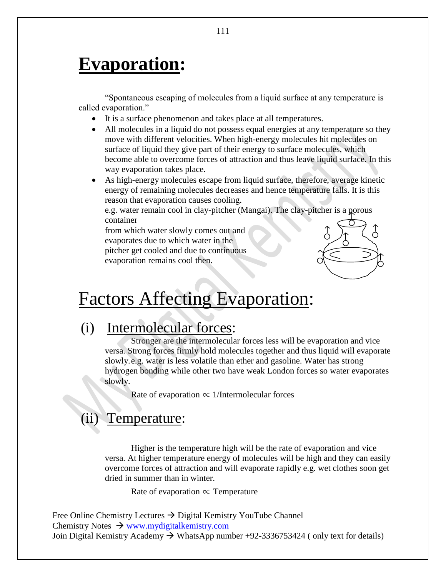# **Evaporation:**

"Spontaneous escaping of molecules from a liquid surface at any temperature is called evaporation."

- It is a surface phenomenon and takes place at all temperatures.
- All molecules in a liquid do not possess equal energies at any temperature so they move with different velocities. When high-energy molecules hit molecules on surface of liquid they give part of their energy to surface molecules, which become able to overcome forces of attraction and thus leave liquid surface. In this way evaporation takes place.
- As high-energy molecules escape from liquid surface, therefore, average kinetic energy of remaining molecules decreases and hence temperature falls. It is this reason that evaporation causes cooling.

e.g. water remain cool in clay-pitcher (Mangai). The clay-pitcher is a porous container

from which water slowly comes out and evaporates due to which water in the pitcher get cooled and due to continuous evaporation remains cool then.



# Factors Affecting Evaporation:

## (i) Intermolecular forces:

Stronger are the intermolecular forces less will be evaporation and vice versa. Strong forces firmly hold molecules together and thus liquid will evaporate slowly.e.g. water is less volatile than ether and gasoline. Water has strong hydrogen bonding while other two have weak London forces so water evaporates slowly.

Rate of evaporation  $\propto$  1/Intermolecular forces

## Temperature:

Higher is the temperature high will be the rate of evaporation and vice versa. At higher temperature energy of molecules will be high and they can easily overcome forces of attraction and will evaporate rapidly e.g. wet clothes soon get dried in summer than in winter.

Rate of evaporation  $\propto$  Temperature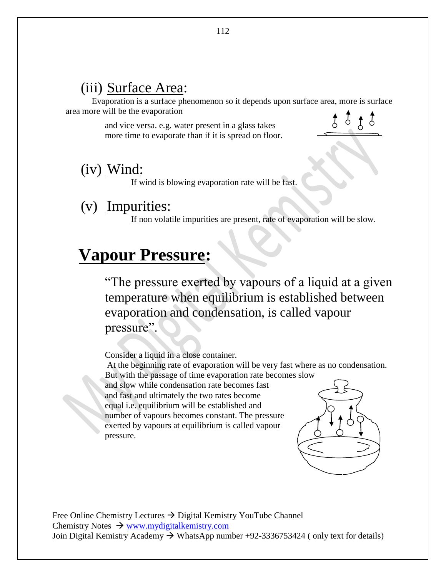## (iii) Surface Area:

Evaporation is a surface phenomenon so it depends upon surface area, more is surface area more will be the evaporation

> and vice versa. e.g. water present in a glass takes more time to evaporate than if it is spread on floor.



### (iv) Wind:

If wind is blowing evaporation rate will be fast.

## (v) Impurities:

If non volatile impurities are present, rate of evaporation will be slow.

# **Vapour Pressure:**

"The pressure exerted by vapours of a liquid at a given temperature when equilibrium is established between evaporation and condensation, is called vapour pressure".

Consider a liquid in a close container.

At the beginning rate of evaporation will be very fast where as no condensation. But with the passage of time evaporation rate becomes slow and slow while condensation rate becomes fast and fast and ultimately the two rates become equal i.e. equilibrium will be established and number of vapours becomes constant. The pressure exerted by vapours at equilibrium is called vapour pressure.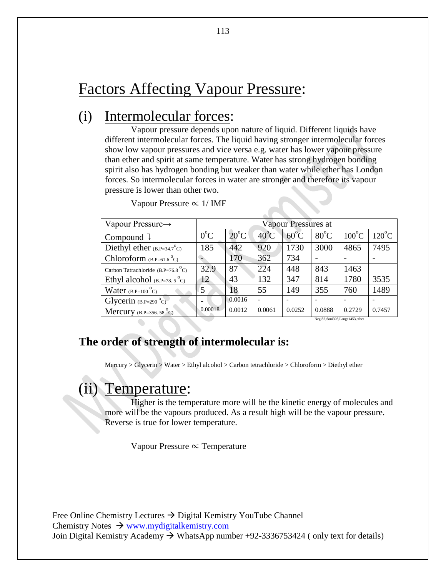## Factors Affecting Vapour Pressure:

## (i) Intermolecular forces:

Vapour pressure depends upon nature of liquid. Different liquids have different intermolecular forces. The liquid having stronger intermolecular forces show low vapour pressures and vice versa e.g. water has lower vapour pressure than ether and spirit at same temperature. Water has strong hydrogen bonding spirit also has hydrogen bonding but weaker than water while ether has London forces. So intermolecular forces in water are stronger and therefore its vapour pressure is lower than other two.

| Vapour Pressure $\rightarrow$                                          | Vapour Pressures at      |                |                |                |                |                 |                 |
|------------------------------------------------------------------------|--------------------------|----------------|----------------|----------------|----------------|-----------------|-----------------|
| Compound $\sqrt{ }$                                                    | $0^{\circ}C$             | $20^{\circ}$ C | $40^{\circ}$ C | $60^{\circ}$ C | $80^{\circ}$ C | $100^{\circ}$ C | $120^{\circ}$ C |
| Diethyl ether $(B.P=34.7^{\circ}C)$                                    | 185                      | 442            | 920            | 1730           | 3000           | 4865            | 7495            |
| Chloroform $(B.P=61.6\degree C)$                                       |                          | 170            | 362            | 734            |                |                 |                 |
| Carbon Tatrachloride $(B.P=76.8\text{ °C})$                            | 32.9                     | 87             | 224            | 448            | 843            | 1463            |                 |
| Ethyl alcohol $(B.P=78.5^{\circ}C)$                                    | 12                       | 43             | 132            | 347            | 814            | 1780            | 3535            |
| Water $(B.P=100^{\circ}C)$                                             | 5                        | 18             | 55             | 149            | 355            | 760             | 1489            |
| Glycerin $(B.P=290^{\circ}C)$                                          | $\overline{\phantom{0}}$ | 0.0016         |                |                |                |                 |                 |
| Mercury $(B.P=356.58^{\circ}C)$                                        | 0.00018                  | 0.0012         | 0.0061         | 0.0252         | 0.0888         | 0.2729          | 0.7457          |
| Negi82, Soni303, Lange1453, other<br>and the state of the state of the |                          |                |                |                |                |                 |                 |

Vapour Pressure ∝ 1/ IMF

#### **The order of strength of intermolecular is:**

Mercury > Glycerin > Water > Ethyl alcohol > Carbon tetrachloride > Chloroform > Diethyl ether

## Temperature:

Higher is the temperature more will be the kinetic energy of molecules and more will be the vapours produced. As a result high will be the vapour pressure. Reverse is true for lower temperature.

Vapour Pressure ∝ Temperature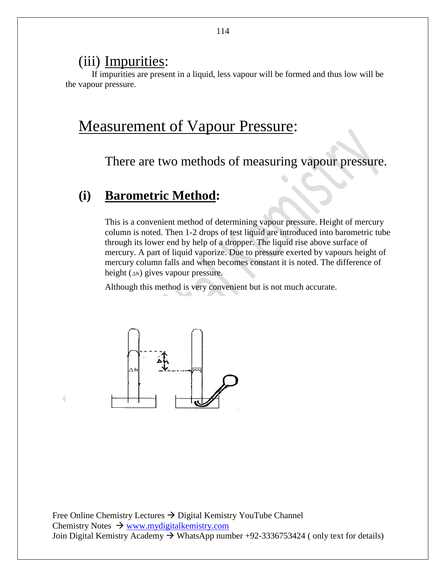### (iii) Impurities:

If impurities are present in a liquid, less vapour will be formed and thus low will be the vapour pressure.

## Measurement of Vapour Pressure:

There are two methods of measuring vapour pressure.

### **(i) Barometric Method:**

This is a convenient method of determining vapour pressure. Height of mercury column is noted. Then 1-2 drops of test liquid are introduced into barometric tube through its lower end by help of a dropper. The liquid rise above surface of mercury. A part of liquid vaporize. Due to pressure exerted by vapours height of mercury column falls and when becomes constant it is noted. The difference of height (∆h) gives vapour pressure.

Although this method is very convenient but is not much accurate.

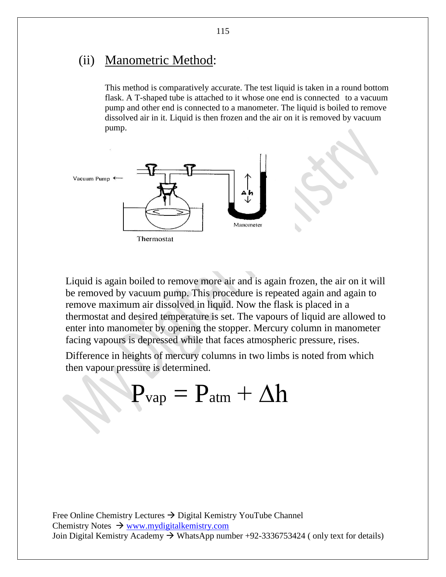### (ii) Manometric Method:

This method is comparatively accurate. The test liquid is taken in a round bottom flask. A T-shaped tube is attached to it whose one end is connected to a vacuum pump and other end is connected to a manometer. The liquid is boiled to remove dissolved air in it. Liquid is then frozen and the air on it is removed by vacuum pump.



Liquid is again boiled to remove more air and is again frozen, the air on it will be removed by vacuum pump. This procedure is repeated again and again to remove maximum air dissolved in liquid. Now the flask is placed in a thermostat and desired temperature is set. The vapours of liquid are allowed to enter into manometer by opening the stopper. Mercury column in manometer facing vapours is depressed while that faces atmospheric pressure, rises.

Difference in heights of mercury columns in two limbs is noted from which then vapour pressure is determined.

 $P_{vap} = P_{atm} + \Delta h$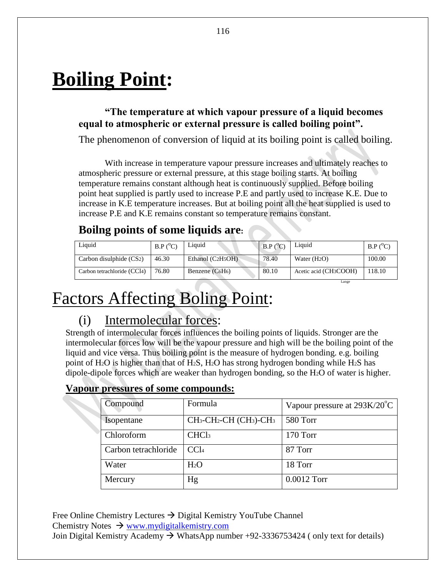# **Boiling Point:**

#### **"The temperature at which vapour pressure of a liquid becomes equal to atmospheric or external pressure is called boiling point".**

The phenomenon of conversion of liquid at its boiling point is called boiling.

With increase in temperature vapour pressure increases and ultimately reaches to atmospheric pressure or external pressure, at this stage boiling starts. At boiling temperature remains constant although heat is continuously supplied. Before boiling point heat supplied is partly used to increase P.E and partly used to increase K.E. Due to increase in K.E temperature increases. But at boiling point all the heat supplied is used to increase P.E and K.E remains constant so temperature remains constant.

### **Boilng points of some liquids are:**

| Liquid                      | $B.P (^0C)$ | Liquid             | $\mathbf{B}.\mathbf{P} (^{\mathrm{o}}\mathbf{C})$ | Liquid                | B.P (°C) |
|-----------------------------|-------------|--------------------|---------------------------------------------------|-----------------------|----------|
| Carbon disulphide (CS2)     | 46.30       | Ethanol $(C2H5OH)$ | 78.40                                             | Water $(H_2O)$        | 100.00   |
| Carbon tetrachloride (CCl4) | 76.80       | Benzene $(C6H6)$   | 80.10                                             | Acetic acid (CH3COOH) | 118.10   |

Lange

# Factors Affecting Boling Point:

## (i) Intermolecular forces:

Strength of intermolecular forces influences the boiling points of liquids. Stronger are the intermolecular forces low will be the vapour pressure and high will be the boiling point of the liquid and vice versa. Thus boiling point is the measure of hydrogen bonding. e.g. boiling point of H<sub>2</sub>O is higher than that of H<sub>2</sub>S, H<sub>2</sub>O has strong hydrogen bonding while H<sub>2</sub>S has dipole-dipole forces which are weaker than hydrogen bonding, so the H2O of water is higher.

#### **Vapour pressures of some compounds:**

| Compound             | Formula                                                                 | Vapour pressure at $293K/20^{\circ}C$ |
|----------------------|-------------------------------------------------------------------------|---------------------------------------|
| Isopentane           | CH <sub>3</sub> -CH <sub>2</sub> -CH (CH <sub>3</sub> )-CH <sub>3</sub> | 580 Torr                              |
| Chloroform           | CHCl <sub>3</sub>                                                       | 170 Torr                              |
| Carbon tetrachloride | CCl <sub>4</sub>                                                        | 87 Torr                               |
| Water                | H <sub>2</sub> O                                                        | 18 Torr                               |
| Mercury              | Hg                                                                      | 0.0012 Torr                           |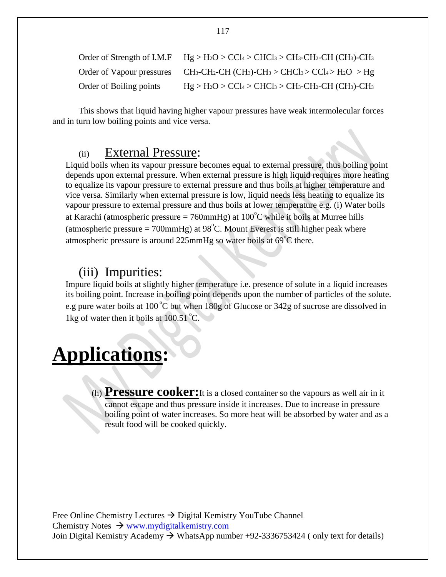|                         | Order of Strength of I.M.F $Hg > H_2O > CCl_4 > CHCl_3 > CH_3-CH_2-CH$ (CH <sub>3</sub> )-CH <sub>3</sub>                                                        |
|-------------------------|------------------------------------------------------------------------------------------------------------------------------------------------------------------|
|                         | Order of Vapour pressures CH <sub>3</sub> -CH <sub>2</sub> -CH (CH <sub>3</sub> )-CH <sub>3</sub> > CHCl <sub>3</sub> > CCl <sub>4</sub> > H <sub>2</sub> O > Hg |
| Order of Boiling points | $Hg > H_2O > CCl_4 > CHCl_3 > CH_3-CH_2-CH (CH_3)-CH_3$                                                                                                          |

This shows that liquid having higher vapour pressures have weak intermolecular forces and in turn low boiling points and vice versa.

#### (ii) External Pressure:

Liquid boils when its vapour pressure becomes equal to external pressure, thus boiling point depends upon external pressure. When external pressure is high liquid requires more heating to equalize its vapour pressure to external pressure and thus boils at higher temperature and vice versa. Similarly when external pressure is low, liquid needs less heating to equalize its vapour pressure to external pressure and thus boils at lower temperature e.g. (i) Water boils at Karachi (atmospheric pressure =  $760 \text{mmHg}$ ) at  $100^{\circ}$ C while it boils at Murree hills (atmospheric pressure = 700mmHg) at  $98^{\circ}$ C. Mount Everest is still higher peak where atmospheric pressure is around 225mmHg so water boils at  $69^{\circ}$ C there.

#### (iii) Impurities:

Impure liquid boils at slightly higher temperature i.e. presence of solute in a liquid increases its boiling point. Increase in boiling point depends upon the number of particles of the solute. e.g pure water boils at 100 °C but when 180g of Glucose or 342g of sucrose are dissolved in 1kg of water then it boils at  $100.51 \degree C$ .

# **Applications:**

(h) **Pressure cooker:**It is a closed container so the vapours as well air in it cannot escape and thus pressure inside it increases. Due to increase in pressure boiling point of water increases. So more heat will be absorbed by water and as a result food will be cooked quickly.

Free Online Chemistry Lectures  $\rightarrow$  Digital Kemistry YouTube Channel Chemistry Notes  $\rightarrow$  [www.mydigitalkemistry.com](http://www.mydigitalkemistry.com/) Join Digital Kemistry Academy  $\rightarrow$  WhatsApp number +92-3336753424 (only text for details)

117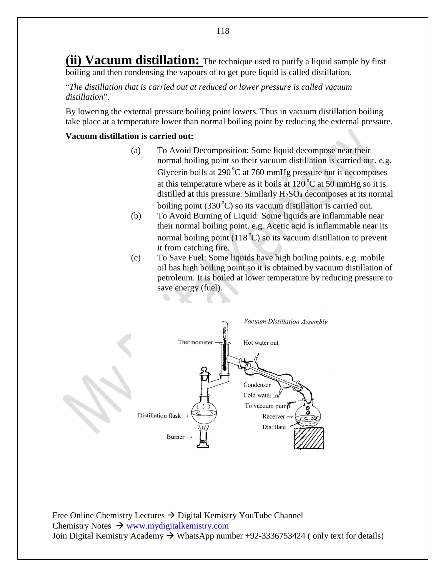**(ii) Vacuum distillation:** The technique used to purify a liquid sample by first boiling and then condensing the vapours of to get pure liquid is called distillation.

"*The distillation that is carried out at reduced or lower pressure is called vacuum distillation*".

By lowering the external pressure boiling point lowers. Thus in vacuum distillation boiling take place at a temperature lower than normal boiling point by reducing the external pressure.

#### **Vacuum distillation is carried out:**

- (a) To Avoid Decomposition: Some liquid decompose near their normal boiling point so their vacuum distillation is carried out. e.g. Glycerin boils at  $290^{\circ}$ C at 760 mmHg pressure but it decomposes at this temperature where as it boils at  $120^{\circ}$ C at 50 mmHg so it is distilled at this pressure. Similarly  $H_2SO_4$  decomposes at its normal boiling point  $(330^{\circ}C)$  so its vacuum distillation is carried out.
- (b) To Avoid Burning of Liquid: Some liquids are inflammable near their normal boiling point. e.g. Acetic acid is inflammable near its normal boiling point  $(118<sup>°</sup>C)$  so its vacuum distillation to prevent it from catching fire.
- (c) To Save Fuel: Some liquids have high boiling points. e.g. mobile oil has high boiling point so it is obtained by vacuum distillation of petroleum. It is boiled at lower temperature by reducing pressure to save energy (fuel).

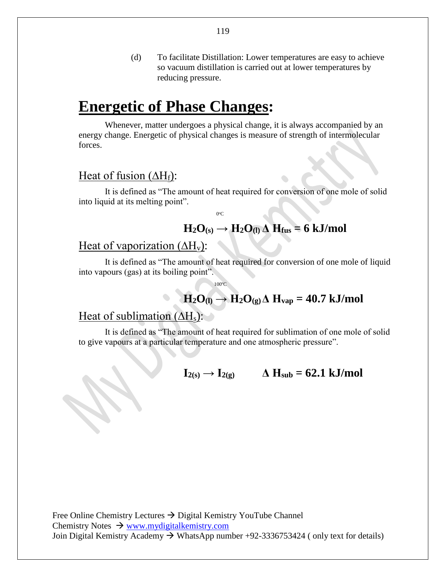(d) To facilitate Distillation: Lower temperatures are easy to achieve so vacuum distillation is carried out at lower temperatures by reducing pressure.

## **Energetic of Phase Changes:**

Whenever, matter undergoes a physical change, it is always accompanied by an energy change. Energetic of physical changes is measure of strength of intermolecular forces.

#### Heat of fusion ( $\Delta H_f$ ):

It is defined as "The amount of heat required for conversion of one mole of solid into liquid at its melting point".

 <sup>0</sup>  $0^{\circ}C$ 

### $H_2O(s) \rightarrow H_2O(1) \Delta H_{fus} = 6$  kJ/mol

#### Heat of vaporization  $(\Delta H_v)$ :

It is defined as "The amount of heat required for conversion of one mole of liquid into vapours (gas) at its boiling point".

100°C

## $H_2O_{(l)} \rightarrow H_2O_{(g)} \Delta H_{vap} = 40.7 \text{ kJ/mol}$

#### Heat of sublimation  $(\Delta H_s)$ :

It is defined as "The amount of heat required for sublimation of one mole of solid to give vapours at a particular temperature and one atmospheric pressure".

 $I_{2(s)} \rightarrow I_{2(g)}$   $\Delta H_{sub} = 62.1$  kJ/mol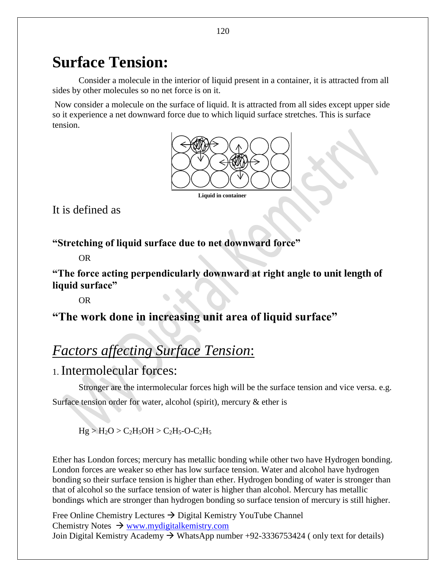## **Surface Tension:**

Consider a molecule in the interior of liquid present in a container, it is attracted from all sides by other molecules so no net force is on it.

Now consider a molecule on the surface of liquid. It is attracted from all sides except upper side so it experience a net downward force due to which liquid surface stretches. This is surface tension.



 **Liquid in container**

It is defined as

**"Stretching of liquid surface due to net downward force"**

OR

**"The force acting perpendicularly downward at right angle to unit length of liquid surface"**

OR

**"The work done in increasing unit area of liquid surface"** 

## *Factors affecting Surface Tension*:

1. Intermolecular forces:

Stronger are the intermolecular forces high will be the surface tension and vice versa. e.g. Surface tension order for water, alcohol (spirit), mercury & ether is

 $Hg > H_2O > C_2H_5OH > C_2H_5-O-C_2H_5$ 

Ether has London forces; mercury has metallic bonding while other two have Hydrogen bonding. London forces are weaker so ether has low surface tension. Water and alcohol have hydrogen bonding so their surface tension is higher than ether. Hydrogen bonding of water is stronger than that of alcohol so the surface tension of water is higher than alcohol. Mercury has metallic bondings which are stronger than hydrogen bonding so surface tension of mercury is still higher.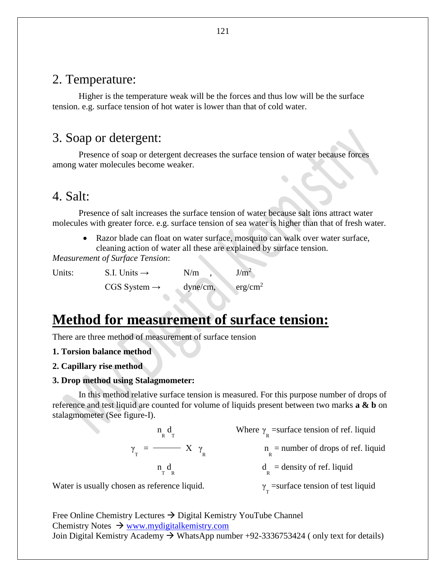#### 2. Temperature:

Higher is the temperature weak will be the forces and thus low will be the surface tension. e.g. surface tension of hot water is lower than that of cold water.

#### 3. Soap or detergent:

Presence of soap or detergent decreases the surface tension of water because forces among water molecules become weaker.

### 4. Salt:

Presence of salt increases the surface tension of water because salt ions attract water molecules with greater force. e.g. surface tension of sea water is higher than that of fresh water.

 Razor blade can float on water surface, mosquito can walk over water surface, cleaning action of water all these are explained by surface tension.

*Measurement of Surface Tension*:

| Units: | S.I. Units $\rightarrow$   | N/m      | J/m <sup>2</sup>    |
|--------|----------------------------|----------|---------------------|
|        | $CGS$ System $\rightarrow$ | dyne/cm, | erg/cm <sup>2</sup> |

## **Method for measurement of surface tension:**

There are three method of measurement of surface tension

#### **1. Torsion balance method**

**2. Capillary rise method**

#### **3. Drop method using Stalagmometer:**

In this method relative surface tension is measured. For this purpose number of drops of reference and test liquid are counted for volume of liquids present between two marks **a & b** on stalagmometer (See figure-I).

$$
\gamma_{\rm T} = \frac{n_{\rm R} d_{\rm T}}{X \gamma_{\rm R}}
$$
\nWhere  $\gamma_{\rm R}$  = surface tension of ref. liquid  
\n $n_{\rm T} d_{\rm R}$  = number of drops of ref. liquid  
\n $d_{\rm R}$  = density of ref. liquid  
\n $\gamma_{\rm T} = \frac{n_{\rm T} d_{\rm R}}{X \gamma_{\rm R}}$  = density of ref. liquid

Water is usually chosen as reference liquid.

 $T_{\text{T}}$  =surface tension of test liquid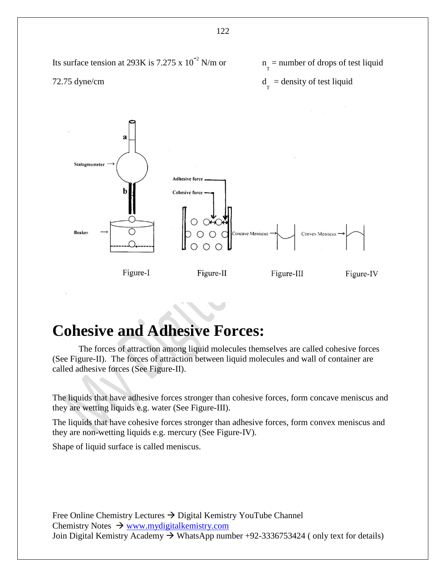

## **Cohesive and Adhesive Forces:**

The forces of attraction among liquid molecules themselves are called cohesive forces (See Figure-II). The forces of attraction between liquid molecules and wall of container are called adhesive forces (See Figure-II).

The liquids that have adhesive forces stronger than cohesive forces, form concave meniscus and they are wetting liquids e.g. water (See Figure-III).

The liquids that have cohesive forces stronger than adhesive forces, form convex meniscus and they are non-wetting liquids e.g. mercury (See Figure-IV).

Shape of liquid surface is called meniscus.

Free Online Chemistry Lectures  $\rightarrow$  Digital Kemistry YouTube Channel Chemistry Notes  $\rightarrow$  [www.mydigitalkemistry.com](http://www.mydigitalkemistry.com/) Join Digital Kemistry Academy  $\rightarrow$  WhatsApp number +92-3336753424 ( only text for details)

122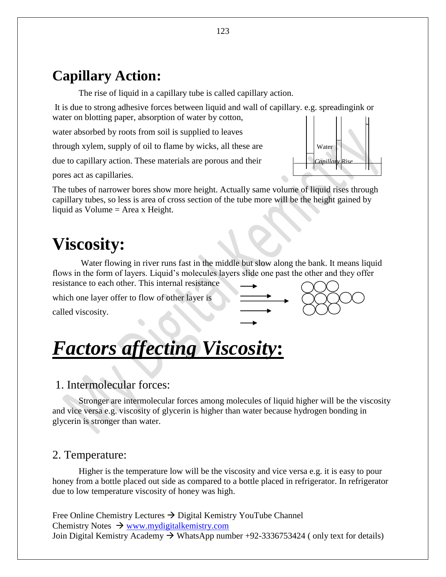## **Capillary Action:**

The rise of liquid in a capillary tube is called capillary action.

It is due to strong adhesive forces between liquid and wall of capillary. e.g. spreadingink or water on blotting paper, absorption of water by cotton,

water absorbed by roots from soil is supplied to leaves

through xylem, supply of oil to flame by wicks, all these are  $\vert \vert$  water

due to capillary action. These materials are porous and their

pores act as capillaries.

The tubes of narrower bores show more height. Actually same volume of liquid rises through capillary tubes, so less is area of cross section of the tube more will be the height gained by liquid as Volume = Area x Height.

# **Viscosity:**

Water flowing in river runs fast in the middle but slow along the bank. It means liquid flows in the form of layers. Liquid's molecules layers slide one past the other and they offer resistance to each other. This internal resistance

which one layer offer to flow of other layer is

called viscosity.

# *Factors affecting Viscosity***:**

#### 1. Intermolecular forces:

Stronger are intermolecular forces among molecules of liquid higher will be the viscosity and vice versa e.g. viscosity of glycerin is higher than water because hydrogen bonding in glycerin is stronger than water.

#### 2. Temperature:

Higher is the temperature low will be the viscosity and vice versa e.g. it is easy to pour honey from a bottle placed out side as compared to a bottle placed in refrigerator. In refrigerator due to low temperature viscosity of honey was high.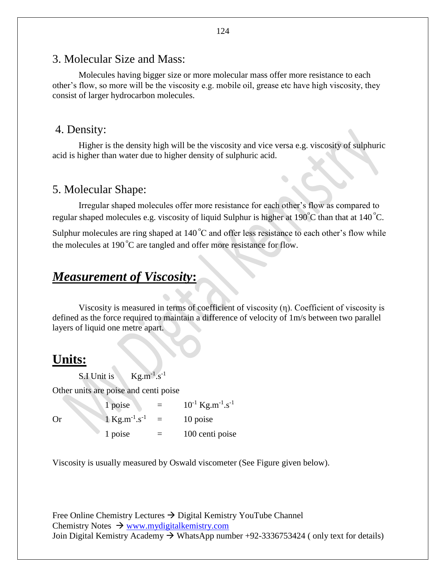#### 3. Molecular Size and Mass:

Molecules having bigger size or more molecular mass offer more resistance to each other's flow, so more will be the viscosity e.g. mobile oil, grease etc have high viscosity, they consist of larger hydrocarbon molecules.

#### 4. Density:

Higher is the density high will be the viscosity and vice versa e.g. viscosity of sulphuric acid is higher than water due to higher density of sulphuric acid.

 $\bullet$ 

#### 5. Molecular Shape:

Irregular shaped molecules offer more resistance for each other's flow as compared to regular shaped molecules e.g. viscosity of liquid Sulphur is higher at 190 $\degree$ C than that at 140 $\degree$ C.

Sulphur molecules are ring shaped at  $140^{\circ}$ C and offer less resistance to each other's flow while the molecules at 190 $^{\circ}$ C are tangled and offer more resistance for flow.

#### *Measurement of Viscosity***:**

Viscosity is measured in terms of coefficient of viscosity (η). Coefficient of viscosity is defined as the force required to maintain a difference of velocity of 1m/s between two parallel layers of liquid one metre apart.

### **Units:**

S.I Unit is  $Kg.m^{-1}.s^{-1}$ 

Other units are poise and centi poise

1 poise  $=$  $^{-1}$  Kg.m<sup>-1</sup>.s<sup>-1</sup> Or  $1 \text{ kg.m}^{-1} \text{ s}^{-1}$  $=$  10 poise  $1 \text{ poise} = 100 \text{ centi poise}$ 

Viscosity is usually measured by Oswald viscometer (See Figure given below).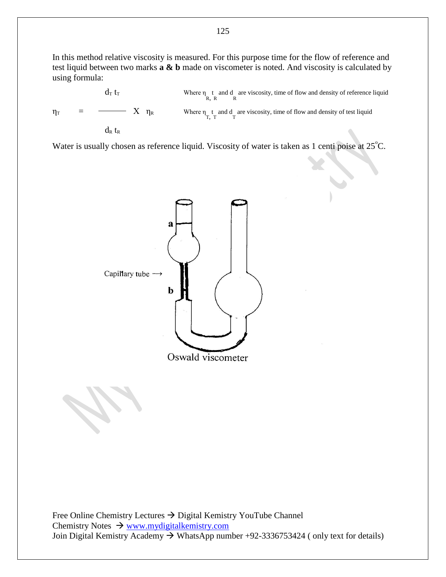In this method relative viscosity is measured. For this purpose time for the flow of reference and test liquid between two marks **a & b** made on viscometer is noted. And viscosity is calculated by using formula:

$$
\eta_T = \frac{d_T t_T}{\pi} \sum_{\substack{R \text{ where } \eta_{\text{R}, R} \text{ and } d_T \text{ are viscosity, time of flow and density of reference liquid} \tag{Eq. 100} \eta_T = \frac{1}{\pi} \sum_{\substack{R \text{ is the probability of test liquid} \text{ and } d_T \text{ is the probability of test liquid} \tag{Eq. 2013}
$$

Water is usually chosen as reference liquid. Viscosity of water is taken as 1 centi poise at  $25^{\circ}$ C.

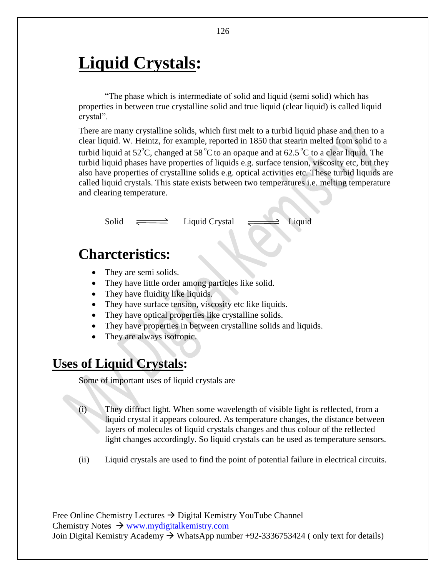# **Liquid Crystals:**

"The phase which is intermediate of solid and liquid (semi solid) which has properties in between true crystalline solid and true liquid (clear liquid) is called liquid crystal".

There are many crystalline solids, which first melt to a turbid liquid phase and then to a clear liquid. W. Heintz, for example, reported in 1850 that stearin melted from solid to a turbid liquid at 52<sup>°</sup>C, changed at 58<sup>°</sup>C to an opaque and at 62.5<sup>°</sup>C to a clear liquid. The turbid liquid phases have properties of liquids e.g. surface tension, viscosity etc, but they also have properties of crystalline solids e.g. optical activities etc. These turbid liquids are called liquid crystals. This state exists between two temperatures i.e. melting temperature and clearing temperature.

 $Solid \implies$  Liquid Crystal  $\implies$  Liquid

## **Charcteristics:**

- They are semi solids.
- They have little order among particles like solid.
- They have fluidity like liquids.
- They have surface tension, viscosity etc like liquids.
- They have optical properties like crystalline solids.
- They have properties in between crystalline solids and liquids.
- They are always isotropic.

### **Uses of Liquid Crystals:**

Some of important uses of liquid crystals are

- (i) They diffract light. When some wavelength of visible light is reflected, from a liquid crystal it appears coloured. As temperature changes, the distance between layers of molecules of liquid crystals changes and thus colour of the reflected light changes accordingly. So liquid crystals can be used as temperature sensors.
- (ii) Liquid crystals are used to find the point of potential failure in electrical circuits.